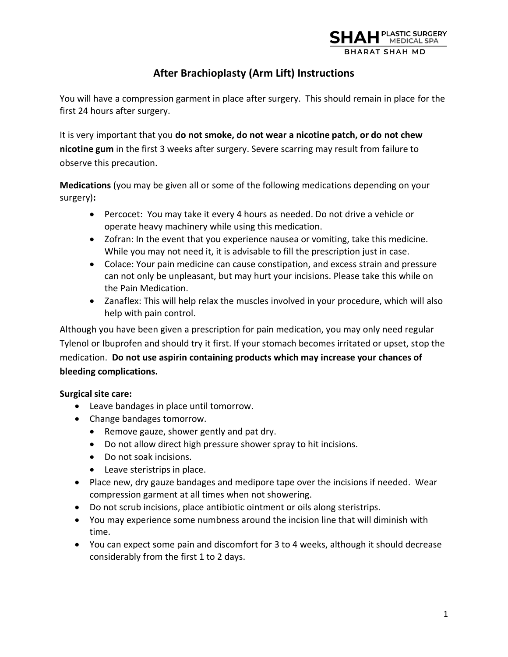

# **After Brachioplasty (Arm Lift) Instructions**

You will have a compression garment in place after surgery. This should remain in place for the first 24 hours after surgery.

It is very important that you **do not smoke, do not wear a nicotine patch, or do not chew nicotine gum** in the first 3 weeks after surgery. Severe scarring may result from failure to observe this precaution.

**Medications** (you may be given all or some of the following medications depending on your surgery)**:**

- Percocet: You may take it every 4 hours as needed. Do not drive a vehicle or operate heavy machinery while using this medication.
- Zofran: In the event that you experience nausea or vomiting, take this medicine. While you may not need it, it is advisable to fill the prescription just in case.
- Colace: Your pain medicine can cause constipation, and excess strain and pressure can not only be unpleasant, but may hurt your incisions. Please take this while on the Pain Medication.
- Zanaflex: This will help relax the muscles involved in your procedure, which will also help with pain control.

Although you have been given a prescription for pain medication, you may only need regular Tylenol or Ibuprofen and should try it first. If your stomach becomes irritated or upset, stop the medication. **Do not use aspirin containing products which may increase your chances of bleeding complications.** 

# **Surgical site care:**

- Leave bandages in place until tomorrow.
- Change bandages tomorrow.
	- Remove gauze, shower gently and pat dry.
	- Do not allow direct high pressure shower spray to hit incisions.
	- Do not soak incisions.
	- Leave steristrips in place.
- Place new, dry gauze bandages and medipore tape over the incisions if needed. Wear compression garment at all times when not showering.
- Do not scrub incisions, place antibiotic ointment or oils along steristrips.
- You may experience some numbness around the incision line that will diminish with time.
- You can expect some pain and discomfort for 3 to 4 weeks, although it should decrease considerably from the first 1 to 2 days.